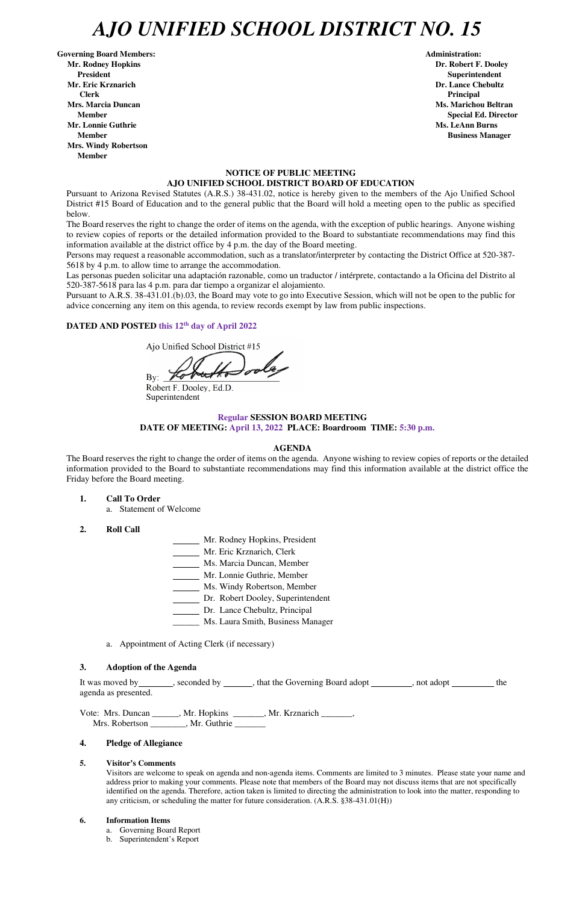# *AJO UNIFIED SCHOOL DISTRICT NO. 15*

Governing Board Members: **Administration: Administration: Administration: Mr. Rodney Hopkins Dr. Robert F. Dooley President Superintendent in the set of the set of the set of the set of the set of the Superintendent Superintendent Mr. Eric Krznarich Dr. Lance Chebultz Clerk Principal Mrs. Marcia Duncan Ms. Marichou Beltran** *Ms. Marichou Beltran* **Ms. Marichou Beltran <b>Ms. Marichou Beltran Mr. Lonnie Guthrie Ms. LeAnn Burns <b>Ms. LeAnn Burns Member Business Manager Business Manager Business Manager Mrs. Windy Robertson Member** 

 **Member Special Ed. Director** 

# **NOTICE OF PUBLIC MEETING AJO UNIFIED SCHOOL DISTRICT BOARD OF EDUCATION**

Pursuant to Arizona Revised Statutes (A.R.S.) 38-431.02, notice is hereby given to the members of the Ajo Unified School District #15 Board of Education and to the general public that the Board will hold a meeting open to the public as specified below.

The Board reserves the right to change the order of items on the agenda, with the exception of public hearings. Anyone wishing to review copies of reports or the detailed information provided to the Board to substantiate recommendations may find this information available at the district office by 4 p.m. the day of the Board meeting.

Persons may request a reasonable accommodation, such as a translator/interpreter by contacting the District Office at 520-387- 5618 by 4 p.m. to allow time to arrange the accommodation.

Las personas pueden solicitar una adaptación razonable, como un traductor / intérprete, contactando a la Oficina del Distrito al 520-387-5618 para las 4 p.m. para dar tiempo a organizar el alojamiento.

It was moved by seconded by seconded by seconded by that the Governing Board adopt second adopt set of the second agenda as presented.

Vote: Mrs. Duncan \_\_\_\_\_\_, Mr. Hopkins \_\_\_\_\_\_\_, Mr. Krznarich \_\_\_\_\_\_\_, Mrs. Robertson \_\_\_\_\_\_\_, Mr. Guthrie \_\_\_\_\_\_

Pursuant to A.R.S. 38-431.01.(b).03, the Board may vote to go into Executive Session, which will not be open to the public for advice concerning any item on this agenda, to review records exempt by law from public inspections.

# **DATED AND POSTED this 12th day of April 2022**

Ajo Unified School District #15

By:

Robert F. Dooley, Ed.D. Superintendent

# **Regular SESSION BOARD MEETING DATE OF MEETING: April 13, 2022 PLACE: Boardroom TIME: 5:30 p.m.**

# **AGENDA**

The Board reserves the right to change the order of items on the agenda. Anyone wishing to review copies of reports or the detailed information provided to the Board to substantiate recommendations may find this information available at the district office the Friday before the Board meeting.

- **1. Call To Order** 
	- a. Statement of Welcome
- **2. Roll Call**
- Mr. Rodney Hopkins, President
- Mr. Eric Krznarich, Clerk
- Ms. Marcia Duncan, Member
- Mr. Lonnie Guthrie, Member
- Ms. Windy Robertson, Member
- Dr. Robert Dooley, Superintendent
- Dr. Lance Chebultz, Principal
- \_\_\_\_\_\_ Ms. Laura Smith, Business Manager
- a. Appointment of Acting Clerk (if necessary)

### **3. Adoption of the Agenda**

## **4. Pledge of Allegiance**

#### **5. Visitor's Comments**

Visitors are welcome to speak on agenda and non-agenda items. Comments are limited to 3 minutes. Please state your name and address prior to making your comments. Please note that members of the Board may not discuss items that are not specifically identified on the agenda. Therefore, action taken is limited to directing the administration to look into the matter, responding to any criticism, or scheduling the matter for future consideration. (A.R.S. §38-431.01(H))

#### **6. Information Items**

- a. Governing Board Report
- b. Superintendent's Report